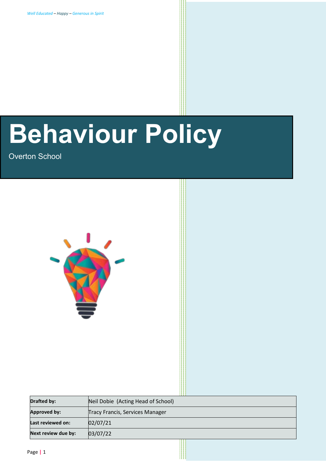# **Behaviour Policy**

Overton School



| <b>Drafted by:</b>  | Neil Dobie (Acting Head of School)     |
|---------------------|----------------------------------------|
| <b>Approved by:</b> | <b>Tracy Francis, Services Manager</b> |
| Last reviewed on:   | 02/07/21                               |
| Next review due by: | 03/07/22                               |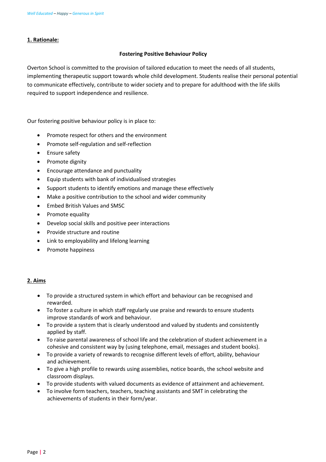## **1. Rationale:**

## **Fostering Positive Behaviour Policy**

Overton School is committed to the provision of tailored education to meet the needs of all students, implementing therapeutic support towards whole child development. Students realise their personal potential to communicate effectively, contribute to wider society and to prepare for adulthood with the life skills required to support independence and resilience.

Our fostering positive behaviour policy is in place to:

- Promote respect for others and the environment
- Promote self-regulation and self-reflection
- Ensure safety
- Promote dignity
- Encourage attendance and punctuality
- Equip students with bank of individualised strategies
- Support students to identify emotions and manage these effectively
- Make a positive contribution to the school and wider community
- Embed British Values and SMSC
- Promote equality
- Develop social skills and positive peer interactions
- Provide structure and routine
- Link to employability and lifelong learning
- Promote happiness

## **2. Aims**

- To provide a structured system in which effort and behaviour can be recognised and rewarded.
- To foster a culture in which staff regularly use praise and rewards to ensure students improve standards of work and behaviour.
- To provide a system that is clearly understood and valued by students and consistently applied by staff.
- To raise parental awareness of school life and the celebration of student achievement in a cohesive and consistent way by (using telephone, email, messages and student books).
- To provide a variety of rewards to recognise different levels of effort, ability, behaviour and achievement.
- To give a high profile to rewards using assemblies, notice boards, the school website and classroom displays.
- To provide students with valued documents as evidence of attainment and achievement.
- To involve form teachers, teachers, teaching assistants and SMT in celebrating the achievements of students in their form/year.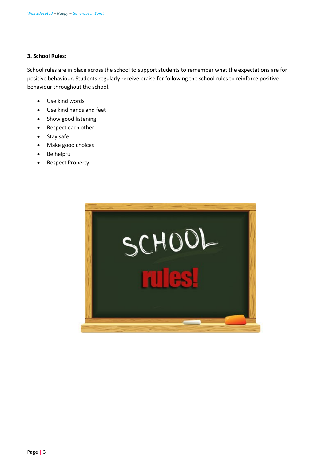## **3. School Rules:**

School rules are in place across the school to support students to remember what the expectations are for positive behaviour. Students regularly receive praise for following the school rules to reinforce positive behaviour throughout the school.

- Use kind words
- Use kind hands and feet
- Show good listening
- Respect each other
- Stay safe
- Make good choices
- Be helpful
- Respect Property

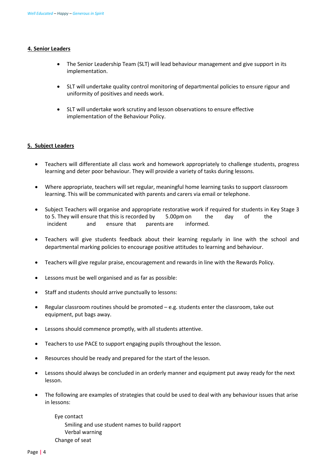#### **4. Senior Leaders**

- The Senior Leadership Team (SLT) will lead behaviour management and give support in its implementation.
- SLT will undertake quality control monitoring of departmental policies to ensure rigour and uniformity of positives and needs work.
- SLT will undertake work scrutiny and lesson observations to ensure effective implementation of the Behaviour Policy.

#### **5. Subject Leaders**

- Teachers will differentiate all class work and homework appropriately to challenge students, progress learning and deter poor behaviour. They will provide a variety of tasks during lessons.
- Where appropriate, teachers will set regular, meaningful home learning tasks to support classroom learning. This will be communicated with parents and carers via email or telephone.
- Subject Teachers will organise and appropriate restorative work if required for students in Key Stage 3 to 5. They will ensure that this is recorded by 5.00pm on the day of the incident and ensure that parents are informed.
- Teachers will give students feedback about their learning regularly in line with the school and departmental marking policies to encourage positive attitudes to learning and behaviour.
- Teachers will give regular praise, encouragement and rewards in line with the Rewards Policy.
- Lessons must be well organised and as far as possible:
- Staff and students should arrive punctually to lessons:
- Regular classroom routines should be promoted e.g. students enter the classroom, take out equipment, put bags away.
- Lessons should commence promptly, with all students attentive.
- Teachers to use PACE to support engaging pupils throughout the lesson.
- Resources should be ready and prepared for the start of the lesson.
- Lessons should always be concluded in an orderly manner and equipment put away ready for the next lesson.
- The following are examples of strategies that could be used to deal with any behaviour issues that arise in lessons:

 Eye contact Smiling and use student names to build rapport Verbal warning Change of seat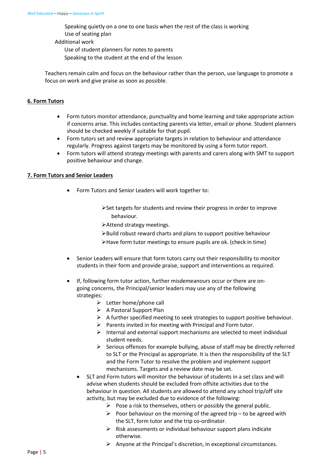Speaking quietly on a one to one basis when the rest of the class is working Use of seating plan

Additional work

Use of student planners for notes to parents

Speaking to the student at the end of the lesson

Teachers remain calm and focus on the behaviour rather than the person, use language to promote a focus on work and give praise as soon as possible.

## **6. Form Tutors**

- Form tutors monitor attendance, punctuality and home learning and take appropriate action if concerns arise. This includes contacting parents via letter, email or phone. Student planners should be checked weekly if suitable for that pupil.
- Form tutors set and review appropriate targets in relation to behaviour and attendance regularly. Progress against targets may be monitored by using a form tutor report.
- Form tutors will attend strategy meetings with parents and carers along with SMT to support positive behaviour and change.

## **7. Form Tutors and Senior Leaders**

- Form Tutors and Senior Leaders will work together to:
	- $\triangleright$  Set targets for students and review their progress in order to improve behaviour.
	- Attend strategy meetings.
	- $\blacktriangleright$  Build robust reward charts and plans to support positive behaviour
	- Have form tutor meetings to ensure pupils are ok. (check in time)
- Senior Leaders will ensure that form tutors carry out their responsibility to monitor students in their form and provide praise, support and interventions as required.
- If, following form tutor action, further misdemeanours occur or there are ongoing concerns, the Principal/senior leaders may use any of the following strategies:
	- $\triangleright$  Letter home/phone call
	- $\triangleright$  A Pastoral Support Plan
	- $\triangleright$  A further specified meeting to seek strategies to support positive behaviour.
	- $\triangleright$  Parents invited in for meeting with Principal and Form tutor.
	- $\triangleright$  Internal and external support mechanisms are selected to meet individual student needs.
	- $\triangleright$  Serious offences for example bullying, abuse of staff may be directly referred to SLT or the Principal as appropriate. It is then the responsibility of the SLT and the Form Tutor to resolve the problem and implement support mechanisms. Targets and a review date may be set.
	- SLT and Form tutors will monitor the behaviour of students in a set class and will advise when students should be excluded from offsite activities due to the behaviour in question. All students are allowed to attend any school trip/off site activity, but may be excluded due to evidence of the following:
		- $\triangleright$  Pose a risk to themselves, others or possibly the general public.
		- $\triangleright$  Poor behaviour on the morning of the agreed trip to be agreed with the SLT, form tutor and the trip co-ordinator.
		- $\triangleright$  Risk assessments or individual behaviour support plans indicate otherwise.
		- $\triangleright$  Anyone at the Principal's discretion, in exceptional circumstances.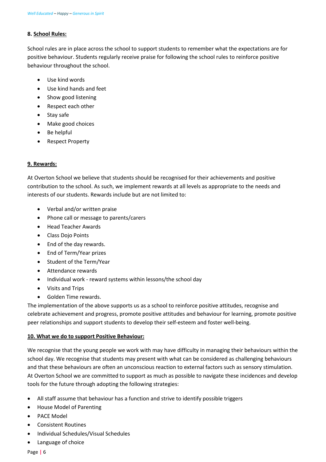## **8. School Rules:**

School rules are in place across the school to support students to remember what the expectations are for positive behaviour. Students regularly receive praise for following the school rules to reinforce positive behaviour throughout the school.

- Use kind words
- Use kind hands and feet
- Show good listening
- Respect each other
- Stay safe
- Make good choices
- Be helpful
- Respect Property

## **9. Rewards:**

At Overton School we believe that students should be recognised for their achievements and positive contribution to the school. As such, we implement rewards at all levels as appropriate to the needs and interests of our students. Rewards include but are not limited to:

- Verbal and/or written praise
- Phone call or message to parents/carers
- Head Teacher Awards
- Class Dojo Points
- End of the day rewards.
- End of Term/Year prizes
- Student of the Term/Year
- Attendance rewards
- Individual work reward systems within lessons/the school day
- Visits and Trips
- Golden Time rewards.

The implementation of the above supports us as a school to reinforce positive attitudes, recognise and celebrate achievement and progress, promote positive attitudes and behaviour for learning, promote positive peer relationships and support students to develop their self-esteem and foster well-being.

## **10. What we do to support Positive Behaviour:**

We recognise that the young people we work with may have difficulty in managing their behaviours within the school day. We recognise that students may present with what can be considered as challenging behaviours and that these behaviours are often an unconscious reaction to external factors such as sensory stimulation. At Overton School we are committed to support as much as possible to navigate these incidences and develop tools for the future through adopting the following strategies:

- All staff assume that behaviour has a function and strive to identify possible triggers
- House Model of Parenting
- PACE Model
- Consistent Routines
- Individual Schedules/Visual Schedules
- Language of choice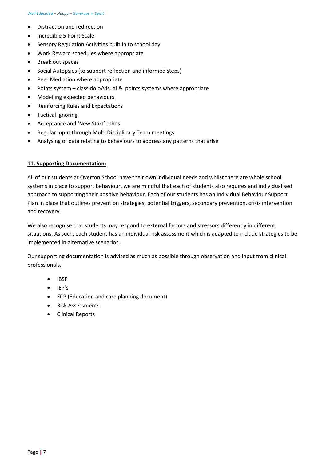- Distraction and redirection
- Incredible 5 Point Scale
- Sensory Regulation Activities built in to school day
- Work Reward schedules where appropriate
- Break out spaces
- Social Autopsies (to support reflection and informed steps)
- Peer Mediation where appropriate
- Points system class dojo/visual & points systems where appropriate
- Modelling expected behaviours
- Reinforcing Rules and Expectations
- Tactical Ignoring
- Acceptance and 'New Start' ethos
- Regular input through Multi Disciplinary Team meetings
- Analysing of data relating to behaviours to address any patterns that arise

#### **11. Supporting Documentation:**

All of our students at Overton School have their own individual needs and whilst there are whole school systems in place to support behaviour, we are mindful that each of students also requires and individualised approach to supporting their positive behaviour. Each of our students has an Individual Behaviour Support Plan in place that outlines prevention strategies, potential triggers, secondary prevention, crisis intervention and recovery.

We also recognise that students may respond to external factors and stressors differently in different situations. As such, each student has an individual risk assessment which is adapted to include strategies to be implemented in alternative scenarios.

Our supporting documentation is advised as much as possible through observation and input from clinical professionals.

- IBSP
- IEP's
- ECP (Education and care planning document)
- Risk Assessments
- Clinical Reports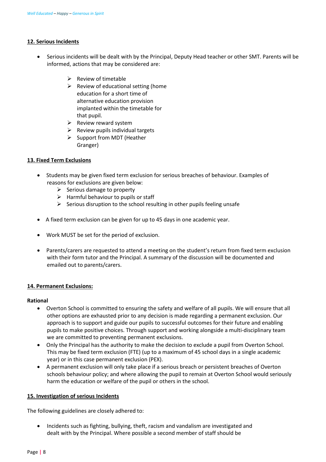## **12. Serious Incidents**

- Serious incidents will be dealt with by the Principal, Deputy Head teacher or other SMT. Parents will be informed, actions that may be considered are:
	- $\triangleright$  Review of timetable
	- $\triangleright$  Review of educational setting (home education for a short time of alternative education provision implanted within the timetable for that pupil.
	- $\triangleright$  Review reward system
	- $\triangleright$  Review pupils individual targets
	- $\triangleright$  Support from MDT (Heather Granger)

## **13. Fixed Term Exclusions**

- Students may be given fixed term exclusion for serious breaches of behaviour. Examples of reasons for exclusions are given below:
	- $\triangleright$  Serious damage to property
	- $\triangleright$  Harmful behaviour to pupils or staff
	- $\triangleright$  Serious disruption to the school resulting in other pupils feeling unsafe
- A fixed term exclusion can be given for up to 45 days in one academic year.
- Work MUST be set for the period of exclusion.
- Parents/carers are requested to attend a meeting on the student's return from fixed term exclusion with their form tutor and the Principal. A summary of the discussion will be documented and emailed out to parents/carers.

#### **14. Permanent Exclusions:**

#### **Rational**

- Overton School is committed to ensuring the safety and welfare of all pupils. We will ensure that all other options are exhausted prior to any decision is made regarding a permanent exclusion. Our approach is to support and guide our pupils to successful outcomes for their future and enabling pupils to make positive choices. Through support and working alongside a multi-disciplinary team we are committed to preventing permanent exclusions.
- Only the Principal has the authority to make the decision to exclude a pupil from Overton School. This may be fixed term exclusion (FTE) (up to a maximum of 45 school days in a single academic year) or in this case permanent exclusion (PEX).
- A permanent exclusion will only take place if a serious breach or persistent breaches of Overton schools behaviour policy; and where allowing the pupil to remain at Overton School would seriously harm the education or welfare of the pupil or others in the school.

## **15. Investigation of serious Incidents**

The following guidelines are closely adhered to:

• Incidents such as fighting, bullying, theft, racism and vandalism are investigated and dealt with by the Principal. Where possible a second member of staff should be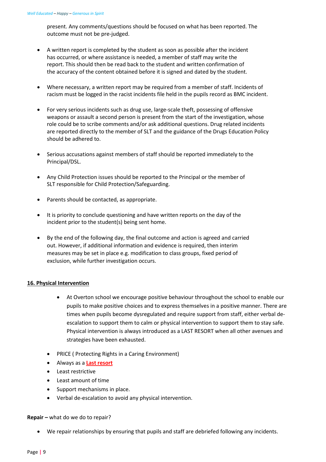present. Any comments/questions should be focused on what has been reported. The outcome must not be pre-judged.

- A written report is completed by the student as soon as possible after the incident has occurred, or where assistance is needed, a member of staff may write the report. This should then be read back to the student and written confirmation of the accuracy of the content obtained before it is signed and dated by the student.
- Where necessary, a written report may be required from a member of staff. Incidents of racism must be logged in the racist incidents file held in the pupils record as BMC incident.
- For very serious incidents such as drug use, large-scale theft, possessing of offensive weapons or assault a second person is present from the start of the investigation, whose role could be to scribe comments and/or ask additional questions. Drug related incidents are reported directly to the member of SLT and the guidance of the Drugs Education Policy should be adhered to.
- Serious accusations against members of staff should be reported immediately to the Principal/DSL.
- Any Child Protection issues should be reported to the Principal or the member of SLT responsible for Child Protection/Safeguarding.
- Parents should be contacted, as appropriate.
- It is priority to conclude questioning and have written reports on the day of the incident prior to the student(s) being sent home.
- By the end of the following day, the final outcome and action is agreed and carried out. However, if additional information and evidence is required, then interim measures may be set in place e.g. modification to class groups, fixed period of exclusion, while further investigation occurs.

## **16. Physical Intervention**

- At Overton school we encourage positive behaviour throughout the school to enable our pupils to make positive choices and to express themselves in a positive manner. There are times when pupils become dysregulated and require support from staff, either verbal deescalation to support them to calm or physical intervention to support them to stay safe. Physical intervention is always introduced as a LAST RESORT when all other avenues and strategies have been exhausted.
- PRICE ( Protecting Rights in a Caring Environment)
- Always as a **Last resort**
- Least restrictive
- Least amount of time
- Support mechanisms in place.
- Verbal de-escalation to avoid any physical intervention.

#### **Repair –** what do we do to repair?

• We repair relationships by ensuring that pupils and staff are debriefed following any incidents.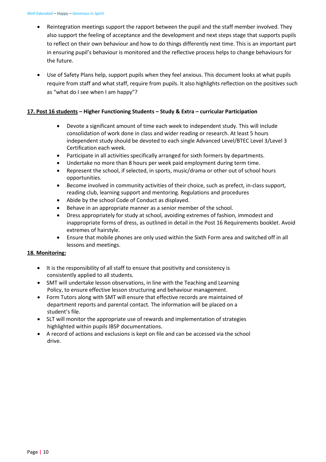- Reintegration meetings support the rapport between the pupil and the staff member involved. They also support the feeling of acceptance and the development and next steps stage that supports pupils to reflect on their own behaviour and how to do things differently next time. This is an important part in ensuring pupil's behaviour is monitored and the reflective process helps to change behaviours for the future.
- Use of Safety Plans help, support pupils when they feel anxious. This document looks at what pupils require from staff and what staff, require from pupils. It also highlights reflection on the positives such as "what do I see when I am happy"?

## **17. Post 16 students – Higher Functioning Students – Study & Extra – curricular Participation**

- Devote a significant amount of time each week to independent study. This will include consolidation of work done in class and wider reading or research. At least 5 hours independent study should be devoted to each single Advanced Level/BTEC Level 3/Level 3 Certification each week.
- Participate in all activities specifically arranged for sixth formers by departments.
- Undertake no more than 8 hours per week paid employment during term time.
- Represent the school, if selected, in sports, music/drama or other out of school hours opportunities.
- Become involved in community activities of their choice, such as prefect, in-class support, reading club, learning support and mentoring. Regulations and procedures
- Abide by the school Code of Conduct as displayed.
- Behave in an appropriate manner as a senior member of the school.
- Dress appropriately for study at school, avoiding extremes of fashion, immodest and inappropriate forms of dress, as outlined in detail in the Post 16 Requirements booklet. Avoid extremes of hairstyle.
- Ensure that mobile phones are only used within the Sixth Form area and switched off in all lessons and meetings.

## **18. Monitoring:**

- It is the responsibility of all staff to ensure that positivity and consistency is consistently applied to all students.
- SMT will undertake lesson observations, in line with the Teaching and Learning Policy, to ensure effective lesson structuring and behaviour management.
- Form Tutors along with SMT will ensure that effective records are maintained of department reports and parental contact. The information will be placed on a student's file.
- SLT will monitor the appropriate use of rewards and implementation of strategies highlighted within pupils IBSP documentations.
- A record of actions and exclusions is kept on file and can be accessed via the school drive.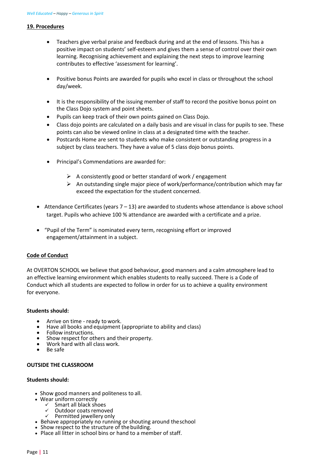#### **19. Procedures**

- Teachers give verbal praise and feedback during and at the end of lessons. This has a positive impact on students' self-esteem and gives them a sense of control over their own learning. Recognising achievement and explaining the next steps to improve learning contributes to effective 'assessment for learning'.
- Positive bonus Points are awarded for pupils who excel in class or throughout the school day/week.
- It is the responsibility of the issuing member of staff to record the positive bonus point on the Class Dojo system and point sheets.
- Pupils can keep track of their own points gained on Class Dojo.
- Class dojo points are calculated on a daily basis and are visual in class for pupils to see. These points can also be viewed online in class at a designated time with the teacher.
- Postcards Home are sent to students who make consistent or outstanding progress in a subject by class teachers. They have a value of 5 class dojo bonus points.
- Principal's Commendations are awarded for:
	- $\triangleright$  A consistently good or better standard of work / engagement
	- $\triangleright$  An outstanding single major piece of work/performance/contribution which may far exceed the expectation for the student concerned.
- Attendance Certificates (years 7 13) are awarded to students whose attendance is above school target. Pupils who achieve 100 % attendance are awarded with a certificate and a prize.
- "Pupil of the Term" is nominated every term, recognising effort or improved engagement/attainment in a subject.

## **Code of Conduct**

At OVERTON SCHOOL we believe that good behaviour, good manners and a calm atmosphere lead to an effective learning environment which enables students to really succeed. There is a Code of Conduct which all students are expected to follow in order for us to achieve a quality environment for everyone.

## **Students should:**

- 
- Arrive on time ready to work.<br>• Have all books and equipment (appropriate to ability and class)<br>• Follow instructions.<br>• Show respect for others and their property.<br>• Work hard with all class work.<br>• Be safe
- 
- 
- 
- 

#### **OUTSIDE THE CLASSROOM**

#### **Students should:**

- Show good manners and politeness to all.
- Wear uniform correctly
	- $\checkmark$  Smart all black shoes
	- $\checkmark$  Outdoor coats removed<br> $\checkmark$  Permitted iewellery only
- Permitted jewellery only • Behave appropriately no running or shouting around theschool
- Show respect to the structure of the building.
- Place all litter in school bins or hand to a member of staff.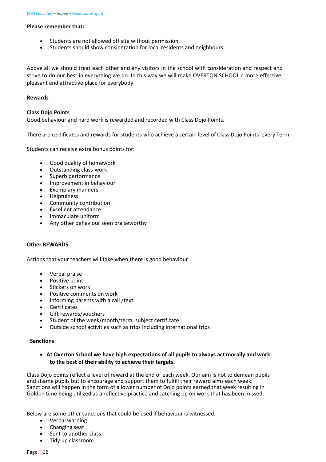#### **Please remember that:**

- Students are not allowed off site without permission.
- Students should show consideration for local residents and neighbours.

Above all we should treat each other and any visitors in the school with consideration and respect and strive to do our best in everything we do. In this way we will make OVERTON SCHOOL a more effective, pleasant and attractive place for everybody.

#### **Rewards**

#### **Class Dojo Points**

Good behaviour and hard work is rewarded and recorded with Class Dojo Points.

There are certificates and rewards for students who achieve a certain level of Class Dojo Points every Term.

Students can receive extra bonus points for:

- Good quality of homework
- Outstanding class-work
- Superb performance
- Improvement in behaviour
- Exemplary manners
- Helpfulness
- Community contribution
- Excellent attendance
- Immaculate uniform
- Any other behaviour seen praiseworthy

#### **Other REWARDS**

Actions that your teachers will take when there is good behaviour

- Verbal praise
- Positive point
- Stickers on work
- Positive comments on work
- Informing parents with a call /text
- **Certificates**
- Gift rewards/vouchers
- Student of the week/month/term, subject certificate
- Outside school activities such as trips including international trips

#### **Sanctions**

• **At Overton School we have high expectations of all pupils to always act morally and work to the best of their ability to achieve their targets.**

Class Dojo points reflect a level of reward at the end of each week. Our aim is not to demean pupils and shame pupils but to encourage and support them to fulfill their reward aims each week. Sanctions will happen in the form of a lower number of Dojo points earned that week resulting in Golden time being utilized as a reflective practice and catching up on work that has been missed.

Below are some other sanctions that could be used if behaviour is witnessed.

- Verbal warning
- Changing seat
- Sent to another class
- Tidy up classroom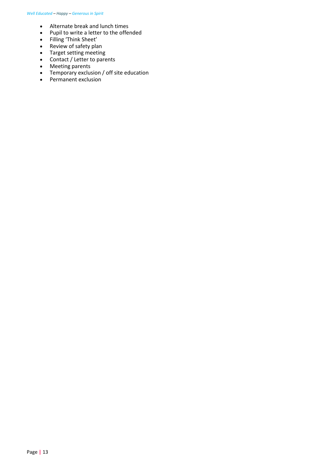- Alternate break and lunch times
- Pupil to write a letter to the offended
- Filling 'Think Sheet'
- Review of safety plan
- Target setting meeting
- Contact / Letter to parents
- Meeting parents
- Temporary exclusion / off site education
- Permanent exclusion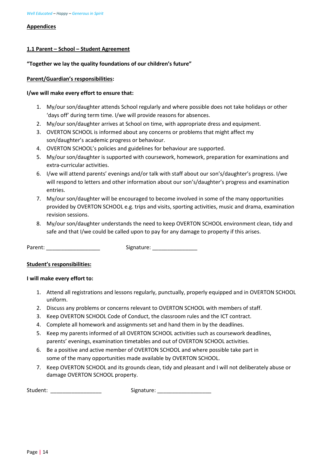#### **Appendices**

## **1.1 Parent – School – Student Agreement**

## **"Together we lay the quality foundations of our children's future"**

## **Parent/Guardian's responsibilities:**

## **I/we will make every effort to ensure that:**

- 1. My/our son/daughter attends School regularly and where possible does not take holidays or other 'days off' during term time. I/we will provide reasons for absences.
- 2. My/our son/daughter arrives at School on time, with appropriate dress and equipment.
- 3. OVERTON SCHOOL is informed about any concerns or problems that might affect my son/daughter's academic progress or behaviour.
- 4. OVERTON SCHOOL's policies and guidelines for behaviour are supported.
- 5. My/our son/daughter is supported with coursework, homework, preparation for examinations and extra-curricular activities.
- 6. I/we will attend parents' evenings and/or talk with staff about our son's/daughter's progress. I/we will respond to letters and other information about our son's/daughter's progress and examination entries.
- 7. My/our son/daughter will be encouraged to become involved in some of the many opportunities provided by OVERTON SCHOOL e.g. trips and visits, sporting activities, music and drama, examination revision sessions.
- 8. My/our son/daughter understands the need to keep OVERTON SCHOOL environment clean, tidy and safe and that I/we could be called upon to pay for any damage to property if this arises.

Parent: \_\_\_\_\_\_\_\_\_\_\_\_\_\_\_\_\_\_\_\_\_\_\_\_\_\_ Signature: \_\_\_\_\_\_\_\_\_\_\_\_\_\_\_\_\_\_\_\_\_\_\_\_\_\_\_\_\_\_\_\_\_\_

## **Student's responsibilities:**

## **I will make every effort to:**

- 1. Attend all registrations and lessons regularly, punctually, properly equipped and in OVERTON SCHOOL uniform.
- 2. Discuss any problems or concerns relevant to OVERTON SCHOOL with members of staff.
- 3. Keep OVERTON SCHOOL Code of Conduct, the classroom rules and the ICT contract.
- 4. Complete all homework and assignments set and hand them in by the deadlines.
- 5. Keep my parents informed of all OVERTON SCHOOL activities such as coursework deadlines, parents' evenings, examination timetables and out of OVERTON SCHOOL activities.
- 6. Be a positive and active member of OVERTON SCHOOL and where possible take part in some of the many opportunities made available by OVERTON SCHOOL.
- 7. Keep OVERTON SCHOOL and its grounds clean, tidy and pleasant and I will not deliberately abuse or damage OVERTON SCHOOL property.

Student: \_\_\_\_\_\_\_\_\_\_\_\_\_\_\_\_\_ Signature: \_\_\_\_\_\_\_\_\_\_\_\_\_\_\_\_\_\_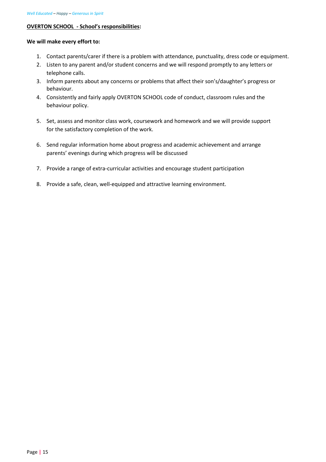## **OVERTON SCHOOL - School's responsibilities:**

#### **We will make every effort to:**

- 1. Contact parents/carer if there is a problem with attendance, punctuality, dress code or equipment.
- 2. Listen to any parent and/or student concerns and we will respond promptly to any letters or telephone calls.
- 3. Inform parents about any concerns or problems that affect their son's/daughter's progress or behaviour.
- 4. Consistently and fairly apply OVERTON SCHOOL code of conduct, classroom rules and the behaviour policy.
- 5. Set, assess and monitor class work, coursework and homework and we will provide support for the satisfactory completion of the work.
- 6. Send regular information home about progress and academic achievement and arrange parents' evenings during which progress will be discussed
- 7. Provide a range of extra-curricular activities and encourage student participation
- 8. Provide a safe, clean, well-equipped and attractive learning environment.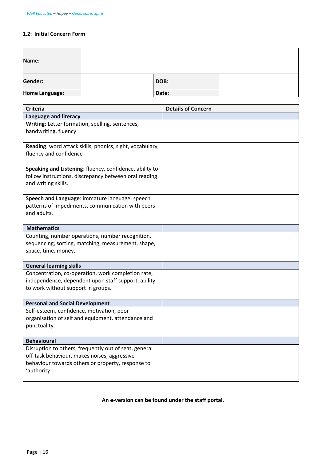## **1.2: Initial Concern Form**

| Name:          |       |  |
|----------------|-------|--|
| Gender:        | DOB:  |  |
| Home Language: | Date: |  |

| <b>Criteria</b>                                                                                                  | <b>Details of Concern</b> |
|------------------------------------------------------------------------------------------------------------------|---------------------------|
| <b>Language and literacy</b>                                                                                     |                           |
| Writing: Letter formation, spelling, sentences,                                                                  |                           |
| handwriting, fluency                                                                                             |                           |
|                                                                                                                  |                           |
| Reading: word attack skills, phonics, sight, vocabulary,                                                         |                           |
| fluency and confidence                                                                                           |                           |
|                                                                                                                  |                           |
| Speaking and Listening: fluency, confidence, ability to<br>follow instructions, discrepancy between oral reading |                           |
| and writing skills.                                                                                              |                           |
|                                                                                                                  |                           |
| Speech and Language: immature language, speech                                                                   |                           |
| patterns of impediments, communication with peers                                                                |                           |
| and adults.                                                                                                      |                           |
|                                                                                                                  |                           |
| <b>Mathematics</b>                                                                                               |                           |
| Counting, number operations, number recognition,                                                                 |                           |
| sequencing, sorting, matching, measurement, shape,                                                               |                           |
| space, time, money.                                                                                              |                           |
| <b>General learning skills</b>                                                                                   |                           |
| Concentration, co-operation, work completion rate,                                                               |                           |
| independence, dependent upon staff support, ability                                                              |                           |
| to work without support in groups.                                                                               |                           |
|                                                                                                                  |                           |
| <b>Personal and Social Development</b>                                                                           |                           |
| Self-esteem, confidence, motivation, poor                                                                        |                           |
| organisation of self and equipment, attendance and                                                               |                           |
| punctuality.                                                                                                     |                           |
|                                                                                                                  |                           |
| <b>Behavioural</b>                                                                                               |                           |
| Disruption to others, frequently out of seat, general<br>off-task behaviour, makes noises, aggressive            |                           |
| behaviour towards others or property, response to                                                                |                           |
| 'authority.                                                                                                      |                           |
|                                                                                                                  |                           |

# **An e-version can be found under the staff portal.**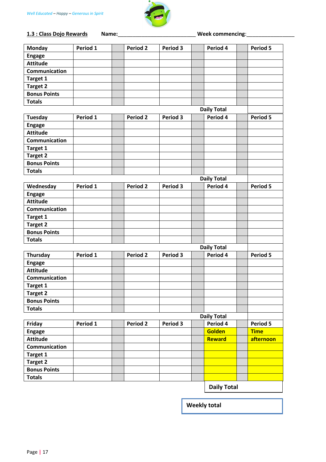

**1.3 : Class Dojo Rewards Name:**\_\_\_\_\_\_\_\_\_\_\_\_\_\_\_\_\_\_\_\_\_\_\_\_\_\_ **Week commencing**:\_\_\_\_\_\_\_\_\_\_\_\_\_\_\_\_

| <b>Monday</b>       | Period 1 | <b>Period 2</b>     | Period 3        | Period 4           | <b>Period 5</b> |
|---------------------|----------|---------------------|-----------------|--------------------|-----------------|
| <b>Engage</b>       |          |                     |                 |                    |                 |
| <b>Attitude</b>     |          |                     |                 |                    |                 |
| Communication       |          |                     |                 |                    |                 |
| Target 1            |          |                     |                 |                    |                 |
| <b>Target 2</b>     |          |                     |                 |                    |                 |
| <b>Bonus Points</b> |          |                     |                 |                    |                 |
| <b>Totals</b>       |          |                     |                 |                    |                 |
|                     |          |                     |                 | <b>Daily Total</b> |                 |
| <b>Tuesday</b>      | Period 1 | <b>Period 2</b>     | Period 3        | Period 4           | Period 5        |
| <b>Engage</b>       |          |                     |                 |                    |                 |
| <b>Attitude</b>     |          |                     |                 |                    |                 |
| Communication       |          |                     |                 |                    |                 |
| Target 1            |          |                     |                 |                    |                 |
| <b>Target 2</b>     |          |                     |                 |                    |                 |
| <b>Bonus Points</b> |          |                     |                 |                    |                 |
| <b>Totals</b>       |          |                     |                 |                    |                 |
|                     |          |                     |                 | <b>Daily Total</b> |                 |
| Wednesday           | Period 1 | <b>Period 2</b>     | <b>Period 3</b> | Period 4           | <b>Period 5</b> |
| <b>Engage</b>       |          |                     |                 |                    |                 |
| <b>Attitude</b>     |          |                     |                 |                    |                 |
| Communication       |          |                     |                 |                    |                 |
| Target 1            |          |                     |                 |                    |                 |
| <b>Target 2</b>     |          |                     |                 |                    |                 |
| <b>Bonus Points</b> |          |                     |                 |                    |                 |
| <b>Totals</b>       |          |                     |                 |                    |                 |
|                     |          |                     |                 | <b>Daily Total</b> |                 |
| Thursday            | Period 1 | Period <sub>2</sub> | Period 3        | Period 4           | Period 5        |
| <b>Engage</b>       |          |                     |                 |                    |                 |
| <b>Attitude</b>     |          |                     |                 |                    |                 |
| Communication       |          |                     |                 |                    |                 |
| Target 1            |          |                     |                 |                    |                 |
| Target 2            |          |                     |                 |                    |                 |
| <b>Bonus Points</b> |          |                     |                 |                    |                 |
| <b>Totals</b>       |          |                     |                 |                    |                 |
|                     |          |                     |                 | <b>Daily Total</b> |                 |
| Friday              | Period 1 | Period 2            | Period 3        | Period 4           | Period 5        |
| <b>Engage</b>       |          |                     |                 | <b>Golden</b>      | <b>Time</b>     |
| <b>Attitude</b>     |          |                     |                 | Reward             | afternoon       |
| Communication       |          |                     |                 |                    |                 |
| Target 1            |          |                     |                 |                    |                 |
| Target 2            |          |                     |                 |                    |                 |
| <b>Bonus Points</b> |          |                     |                 |                    |                 |
| <b>Totals</b>       |          |                     |                 |                    |                 |
|                     |          |                     |                 | <b>Daily Total</b> |                 |
|                     |          |                     |                 |                    |                 |

**Weekly total**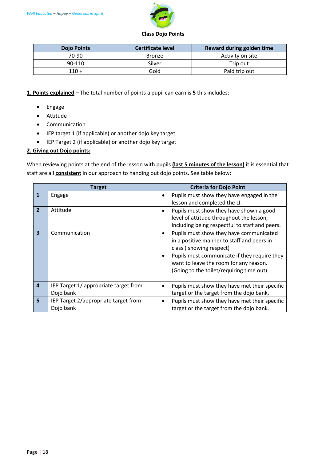

| <b>Dojo Points</b> | <b>Certificate level</b> | Reward during golden time |
|--------------------|--------------------------|---------------------------|
| $70-90$            | <b>Bronze</b>            | Activity on site          |
| 90-110             | Silver                   | Trip out                  |
| $110 +$            | Gold                     | Paid trip out             |

**1. Points explained –** The total number of points a pupil can earn is **5** this includes:

- Engage
- Attitude
- Communication
- IEP target 1 (if applicable) or another dojo key target
- IEP Target 2 (if applicable) or another dojo key target

## **2. Giving out Dojo points:**

When reviewing points at the end of the lesson with pupils **(last 5 minutes of the lesson)** it is essential that staff are all **consistent** in our approach to handing out dojo points. See table below:

|                         | <b>Target</b>                                      |                        | <b>Criteria for Dojo Point</b>                                                                                                                                                                                                                          |
|-------------------------|----------------------------------------------------|------------------------|---------------------------------------------------------------------------------------------------------------------------------------------------------------------------------------------------------------------------------------------------------|
| 1                       | Engage                                             |                        | Pupils must show they have engaged in the<br>lesson and completed the LI.                                                                                                                                                                               |
| $\overline{2}$          | Attitude                                           | ٠                      | Pupils must show they have shown a good<br>level of attitude throughout the lesson,<br>including being respectful to staff and peers.                                                                                                                   |
| $\overline{\mathbf{3}}$ | Communication                                      | $\bullet$<br>$\bullet$ | Pupils must show they have communicated<br>in a positive manner to staff and peers in<br>class (showing respect)<br>Pupils must communicate if they require they<br>want to leave the room for any reason.<br>(Going to the toilet/requiring time out). |
| $\overline{4}$          | IEP Target 1/ appropriate target from<br>Dojo bank |                        | Pupils must show they have met their specific<br>target or the target from the dojo bank.                                                                                                                                                               |
| 5                       | IEP Target 2/appropriate target from<br>Dojo bank  |                        | Pupils must show they have met their specific<br>target or the target from the dojo bank.                                                                                                                                                               |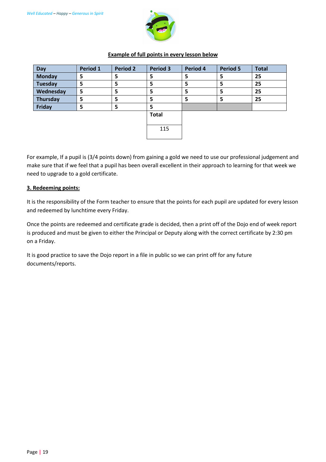

## **Example of full points in every lesson below**

| Day            | Period 1 | <b>Period 2</b> | <b>Period 3</b> | Period 4 | <b>Period 5</b> | <b>Total</b> |
|----------------|----------|-----------------|-----------------|----------|-----------------|--------------|
| <b>Monday</b>  | 5        | 5               |                 |          | 5               | 25           |
| <b>Tuesday</b> | 5        | 5               | 5               | ר        | 5               | 25           |
| Wednesday      | 5        | 5               | 5               |          | 5               | 25           |
| Thursday       | 5        | 5               | 5               | כ        | 5               | 25           |
| Friday         | 5        | 5               | ∍               |          |                 |              |
|                |          |                 | <b>Total</b>    |          |                 |              |
|                |          |                 |                 |          |                 |              |
|                |          |                 | 115             |          |                 |              |
|                |          |                 |                 |          |                 |              |

For example, If a pupil is (3/4 points down) from gaining a gold we need to use our professional judgement and make sure that if we feel that a pupil has been overall excellent in their approach to learning for that week we need to upgrade to a gold certificate.

## **3. Redeeming points:**

It is the responsibility of the Form teacher to ensure that the points for each pupil are updated for every lesson and redeemed by lunchtime every Friday.

Once the points are redeemed and certificate grade is decided, then a print off of the Dojo end of week report is produced and must be given to either the Principal or Deputy along with the correct certificate by 2:30 pm on a Friday.

It is good practice to save the Dojo report in a file in public so we can print off for any future documents/reports.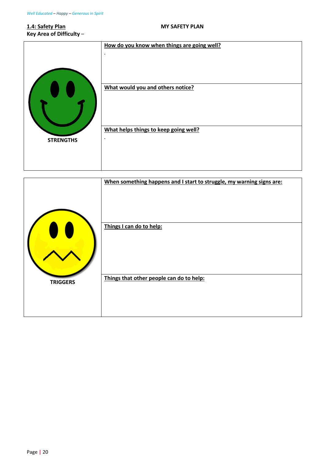# **1.4: Safety Plan MY SAFETY PLAN Key Area of Difficulty** –

|                  | How do you know when things are going well?        |
|------------------|----------------------------------------------------|
|                  | $\cdot$                                            |
|                  | What would you and others notice?                  |
| <b>STRENGTHS</b> | What helps things to keep going well?<br>$\bullet$ |

|                 | When something happens and I start to struggle, my warning signs are: |
|-----------------|-----------------------------------------------------------------------|
|                 | Things I can do to help:                                              |
|                 |                                                                       |
| <b>TRIGGERS</b> | Things that other people can do to help:                              |
|                 |                                                                       |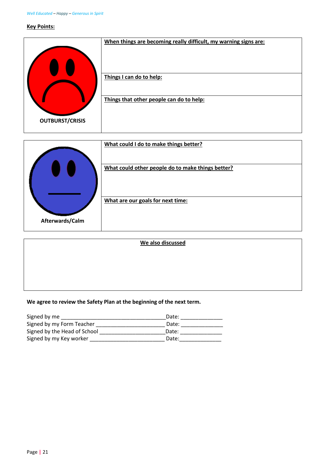#### **Key Points:**



|                 | What could I do to make things better?<br>What could other people do to make things better? |
|-----------------|---------------------------------------------------------------------------------------------|
|                 |                                                                                             |
| Afterwards/Calm | What are our goals for next time:                                                           |

## **We agree to review the Safety Plan at the beginning of the next term.**

| Signed by me                 | Date: |
|------------------------------|-------|
| Signed by my Form Teacher    | Date: |
| Signed by the Head of School | Date: |
| Signed by my Key worker      | Date: |